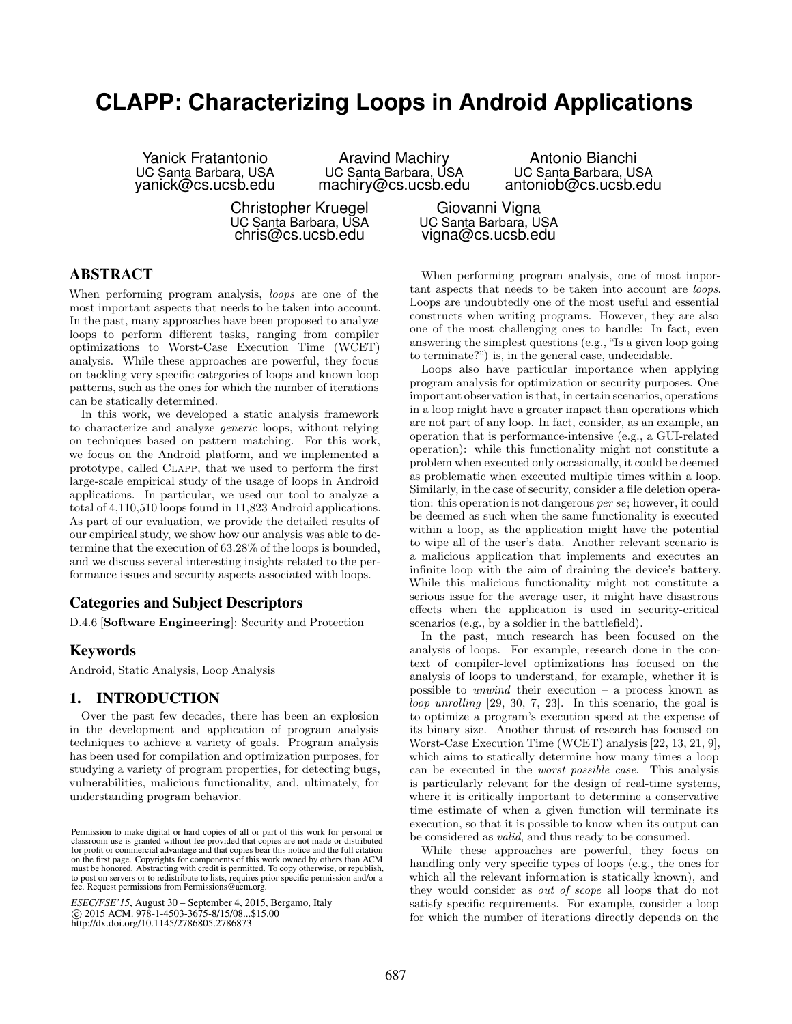# **CLAPP: Characterizing Loops in Android Applications**

Yanick Fratantonio UC Santa Barbara, USA yanick@cs.ucsb.edu

Aravind Machiry UC Santa Barbara, USA machiry@cs.ucsb.edu

Christopher Kruegel UC Santa Barbara, USA chris@cs.ucsb.edu

Antonio Bianchi UC Santa Barbara, USA antoniob@cs.ucsb.edu

Giovanni Vigna UC Santa Barbara, USA vigna@cs.ucsb.edu

# ABSTRACT

When performing program analysis, *loops* are one of the most important aspects that needs to be taken into account. In the past, many approaches have been proposed to analyze loops to perform different tasks, ranging from compiler optimizations to Worst-Case Execution Time (WCET) analysis. While these approaches are powerful, they focus on tackling very specific categories of loops and known loop patterns, such as the ones for which the number of iterations can be statically determined.

In this work, we developed a static analysis framework to characterize and analyze *generic* loops, without relying on techniques based on pattern matching. For this work, we focus on the Android platform, and we implemented a prototype, called Clapp, that we used to perform the first large-scale empirical study of the usage of loops in Android applications. In particular, we used our tool to analyze a total of 4,110,510 loops found in 11,823 Android applications. As part of our evaluation, we provide the detailed results of our empirical study, we show how our analysis was able to determine that the execution of 63.28% of the loops is bounded, and we discuss several interesting insights related to the performance issues and security aspects associated with loops.

## Categories and Subject Descriptors

D.4.6 [**Software Engineering**]: Security and Protection

## Keywords

Android, Static Analysis, Loop Analysis

#### 1. INTRODUCTION

Over the past few decades, there has been an explosion in the development and application of program analysis techniques to achieve a variety of goals. Program analysis has been used for compilation and optimization purposes, for studying a variety of program properties, for detecting bugs, vulnerabilities, malicious functionality, and, ultimately, for understanding program behavior.

*ESEC/FSE'15*, August 30 – September 4, 2015, Bergamo, Italy c 2015 ACM. 978-1-4503-3675-8/15/08...\$15.00 http://dx.doi.org/10.1145/2786805.2786873

When performing program analysis, one of most important aspects that needs to be taken into account are *loops*. Loops are undoubtedly one of the most useful and essential constructs when writing programs. However, they are also one of the most challenging ones to handle: In fact, even answering the simplest questions (e.g., "Is a given loop going to terminate?") is, in the general case, undecidable.

Loops also have particular importance when applying program analysis for optimization or security purposes. One important observation is that, in certain scenarios, operations in a loop might have a greater impact than operations which are not part of any loop. In fact, consider, as an example, an operation that is performance-intensive (e.g., a GUI-related operation): while this functionality might not constitute a problem when executed only occasionally, it could be deemed as problematic when executed multiple times within a loop. Similarly, in the case of security, consider a file deletion operation: this operation is not dangerous *per se*; however, it could be deemed as such when the same functionality is executed within a loop, as the application might have the potential to wipe all of the user's data. Another relevant scenario is a malicious application that implements and executes an infinite loop with the aim of draining the device's battery. While this malicious functionality might not constitute a serious issue for the average user, it might have disastrous effects when the application is used in security-critical scenarios (e.g., by a soldier in the battlefield).

In the past, much research has been focused on the analysis of loops. For example, research done in the context of compiler-level optimizations has focused on the analysis of loops to understand, for example, whether it is possible to *unwind* their execution – a process known as *loop unrolling* [[29,](#page-10-0) [30,](#page-10-1) [7](#page-10-2), [23\]](#page-10-3). In this scenario, the goal is to optimize a program's execution speed at the expense of its binary size. Another thrust of research has focused on Worst-Case Execution Time (WCET) analysis [\[22](#page-10-4), [13,](#page-10-5) [21,](#page-10-6) [9](#page-10-7)], which aims to statically determine how many times a loop can be executed in the *worst possible case*. This analysis is particularly relevant for the design of real-time systems, where it is critically important to determine a conservative time estimate of when a given function will terminate its execution, so that it is possible to know when its output can be considered as *valid*, and thus ready to be consumed.

While these approaches are powerful, they focus on handling only very specific types of loops (e.g., the ones for which all the relevant information is statically known), and they would consider as *out of scope* all loops that do not satisfy specific requirements. For example, consider a loop for which the number of iterations directly depends on the

Permission to make digital or hard copies of all or part of this work for personal or classroom use is granted without fee provided that copies are not made or distributed for profit or commercial advantage and that copies bear this notice and the full citation on the first page. Copyrights for components of this work owned by others than ACM must be honored. Abstracting with credit is permitted. To copy otherwise, or republish, to post on servers or to redistribute to lists, requires prior specific permission and/or a fee. Request permissions from Permissions@acm.org.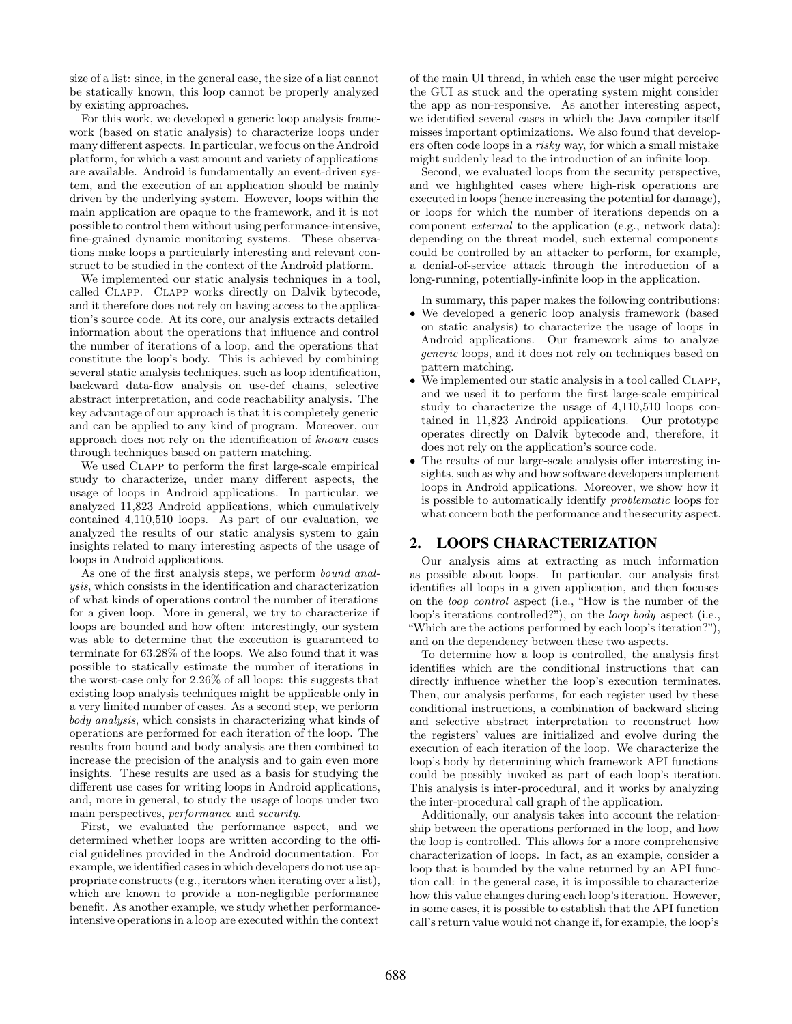size of a list: since, in the general case, the size of a list cannot be statically known, this loop cannot be properly analyzed by existing approaches.

For this work, we developed a generic loop analysis framework (based on static analysis) to characterize loops under many different aspects. In particular, we focus on the Android platform, for which a vast amount and variety of applications are available. Android is fundamentally an event-driven system, and the execution of an application should be mainly driven by the underlying system. However, loops within the main application are opaque to the framework, and it is not possible to control them without using performance-intensive, fine-grained dynamic monitoring systems. These observations make loops a particularly interesting and relevant construct to be studied in the context of the Android platform.

We implemented our static analysis techniques in a tool, called Clapp. Clapp works directly on Dalvik bytecode, and it therefore does not rely on having access to the application's source code. At its core, our analysis extracts detailed information about the operations that influence and control the number of iterations of a loop, and the operations that constitute the loop's body. This is achieved by combining several static analysis techniques, such as loop identification. backward data-flow analysis on use-def chains, selective abstract interpretation, and code reachability analysis. The key advantage of our approach is that it is completely generic and can be applied to any kind of program. Moreover, our approach does not rely on the identification of *known* cases through techniques based on pattern matching.

We used CLAPP to perform the first large-scale empirical study to characterize, under many different aspects, the usage of loops in Android applications. In particular, we analyzed 11,823 Android applications, which cumulatively contained 4,110,510 loops. As part of our evaluation, we analyzed the results of our static analysis system to gain insights related to many interesting aspects of the usage of loops in Android applications.

As one of the first analysis steps, we perform *bound analysis*, which consists in the identification and characterization of what kinds of operations control the number of iterations for a given loop. More in general, we try to characterize if loops are bounded and how often: interestingly, our system was able to determine that the execution is guaranteed to terminate for 63.28% of the loops. We also found that it was possible to statically estimate the number of iterations in the worst-case only for 2.26% of all loops: this suggests that existing loop analysis techniques might be applicable only in a very limited number of cases. As a second step, we perform *body analysis*, which consists in characterizing what kinds of operations are performed for each iteration of the loop. The results from bound and body analysis are then combined to increase the precision of the analysis and to gain even more insights. These results are used as a basis for studying the different use cases for writing loops in Android applications, and, more in general, to study the usage of loops under two main perspectives, *performance* and *security*.

First, we evaluated the performance aspect, and we determined whether loops are written according to the official guidelines provided in the Android documentation. For example, we identified cases in which developers do not use appropriate constructs (e.g., iterators when iterating over a list), which are known to provide a non-negligible performance benefit. As another example, we study whether performanceintensive operations in a loop are executed within the context

of the main UI thread, in which case the user might perceive the GUI as stuck and the operating system might consider the app as non-responsive. As another interesting aspect, we identified several cases in which the Java compiler itself misses important optimizations. We also found that developers often code loops in a *risky* way, for which a small mistake might suddenly lead to the introduction of an infinite loop.

Second, we evaluated loops from the security perspective, and we highlighted cases where high-risk operations are executed in loops (hence increasing the potential for damage), or loops for which the number of iterations depends on a component *external* to the application (e.g., network data): depending on the threat model, such external components could be controlled by an attacker to perform, for example, a denial-of-service attack through the introduction of a long-running, potentially-infinite loop in the application.

In summary, this paper makes the following contributions:

- *•* We developed a generic loop analysis framework (based on static analysis) to characterize the usage of loops in Android applications. Our framework aims to analyze *generic* loops, and it does not rely on techniques based on pattern matching.
- We implemented our static analysis in a tool called CLAPP, and we used it to perform the first large-scale empirical study to characterize the usage of 4,110,510 loops contained in 11,823 Android applications. Our prototype operates directly on Dalvik bytecode and, therefore, it does not rely on the application's source code.
- *•* The results of our large-scale analysis offer interesting insights, such as why and how software developers implement loops in Android applications. Moreover, we show how it is possible to automatically identify *problematic* loops for what concern both the performance and the security aspect.

# 2. LOOPS CHARACTERIZATION

Our analysis aims at extracting as much information as possible about loops. In particular, our analysis first identifies all loops in a given application, and then focuses on the *loop control* aspect (i.e., "How is the number of the loop's iterations controlled?"), on the *loop body* aspect (i.e., "Which are the actions performed by each loop's iteration?"), and on the dependency between these two aspects.

To determine how a loop is controlled, the analysis first identifies which are the conditional instructions that can directly influence whether the loop's execution terminates. Then, our analysis performs, for each register used by these conditional instructions, a combination of backward slicing and selective abstract interpretation to reconstruct how the registers' values are initialized and evolve during the execution of each iteration of the loop. We characterize the loop's body by determining which framework API functions could be possibly invoked as part of each loop's iteration. This analysis is inter-procedural, and it works by analyzing the inter-procedural call graph of the application.

Additionally, our analysis takes into account the relationship between the operations performed in the loop, and how the loop is controlled. This allows for a more comprehensive characterization of loops. In fact, as an example, consider a loop that is bounded by the value returned by an API function call: in the general case, it is impossible to characterize how this value changes during each loop's iteration. However, in some cases, it is possible to establish that the API function call's return value would not change if, for example, the loop's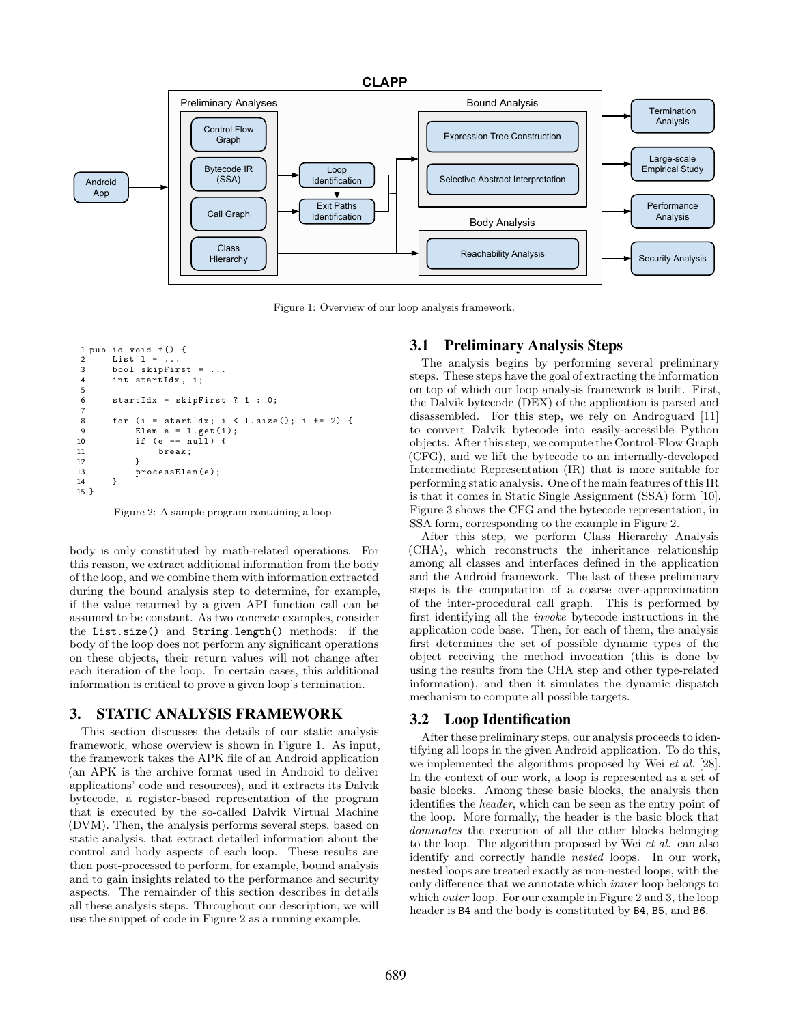<span id="page-2-0"></span>

Figure 1: Overview of our loop analysis framework.

```
1 public void f () {
2 List 1 =<br>3 bool ski
         bool skipFirst =
4 int startIdx , i;
5
6 startIdx = skipFirst ? 1 : 0;
\begin{array}{c} 7 \\ 8 \end{array}8 for (i = startIdx; i < 1.size(); i += 2) {<br>9 Elem e = l.get(i);
9 Elem e = 1.get(i);<br>10 if (e == null) {
10 if (e == null) {<br>11 break;
               break;
\begin{array}{c} 12 \\ 13 \end{array}processElem (e);
14 }
15 }
```
Figure 2: A sample program containing a loop.

body is only constituted by math-related operations. For this reason, we extract additional information from the body of the loop, and we combine them with information extracted during the bound analysis step to determine, for example, if the value returned by a given API function call can be assumed to be constant. As two concrete examples, consider the List.size() and String.length() methods: if the body of the loop does not perform any significant operations on these objects, their return values will not change after each iteration of the loop. In certain cases, this additional information is critical to prove a given loop's termination.

## 3. STATIC ANALYSIS FRAMEWORK

This section discusses the details of our static analysis framework, whose overview is shown in Figure [1.](#page-2-0) As input, the framework takes the APK file of an Android application (an APK is the archive format used in Android to deliver applications' code and resources), and it extracts its Dalvik bytecode, a register-based representation of the program that is executed by the so-called Dalvik Virtual Machine (DVM). Then, the analysis performs several steps, based on static analysis, that extract detailed information about the control and body aspects of each loop. These results are then post-processed to perform, for example, bound analysis and to gain insights related to the performance and security aspects. The remainder of this section describes in details all these analysis steps. Throughout our description, we will use the snippet of code in Figure [2](#page-2-1) as a running example.

## 3.1 Preliminary Analysis Steps

The analysis begins by performing several preliminary steps. These steps have the goal of extracting the information on top of which our loop analysis framework is built. First, the Dalvik bytecode (DEX) of the application is parsed and disassembled. For this step, we rely on Androguard [\[11](#page-10-8)] to convert Dalvik bytecode into easily-accessible Python objects. After this step, we compute the Control-Flow Graph (CFG), and we lift the bytecode to an internally-developed Intermediate Representation (IR) that is more suitable for performing static analysis. One of the main features of this IR is that it comes in Static Single Assignment (SSA) form [\[10\]](#page-10-9). Figure [3](#page-3-0) shows the CFG and the bytecode representation, in SSA form, corresponding to the example in Figure [2](#page-2-1).

After this step, we perform Class Hierarchy Analysis (CHA), which reconstructs the inheritance relationship among all classes and interfaces defined in the application and the Android framework. The last of these preliminary steps is the computation of a coarse over-approximation of the inter-procedural call graph. This is performed by first identifying all the *invoke* bytecode instructions in the application code base. Then, for each of them, the analysis first determines the set of possible dynamic types of the object receiving the method invocation (this is done by using the results from the CHA step and other type-related information), and then it simulates the dynamic dispatch mechanism to compute all possible targets.

## 3.2 Loop Identification

After these preliminary steps, our analysis proceeds to identifying all loops in the given Android application. To do this, we implemented the algorithms proposed by Wei *et al.* [\[28\]](#page-10-10). In the context of our work, a loop is represented as a set of basic blocks. Among these basic blocks, the analysis then identifies the *header*, which can be seen as the entry point of the loop. More formally, the header is the basic block that *dominates* the execution of all the other blocks belonging to the loop. The algorithm proposed by Wei *et al.* can also identify and correctly handle *nested* loops. In our work, nested loops are treated exactly as non-nested loops, with the only difference that we annotate which *inner* loop belongs to which *outer* loop. For our example in Figure [2](#page-2-1) and [3](#page-3-0), the loop header is B4 and the body is constituted by B4, B5, and B6.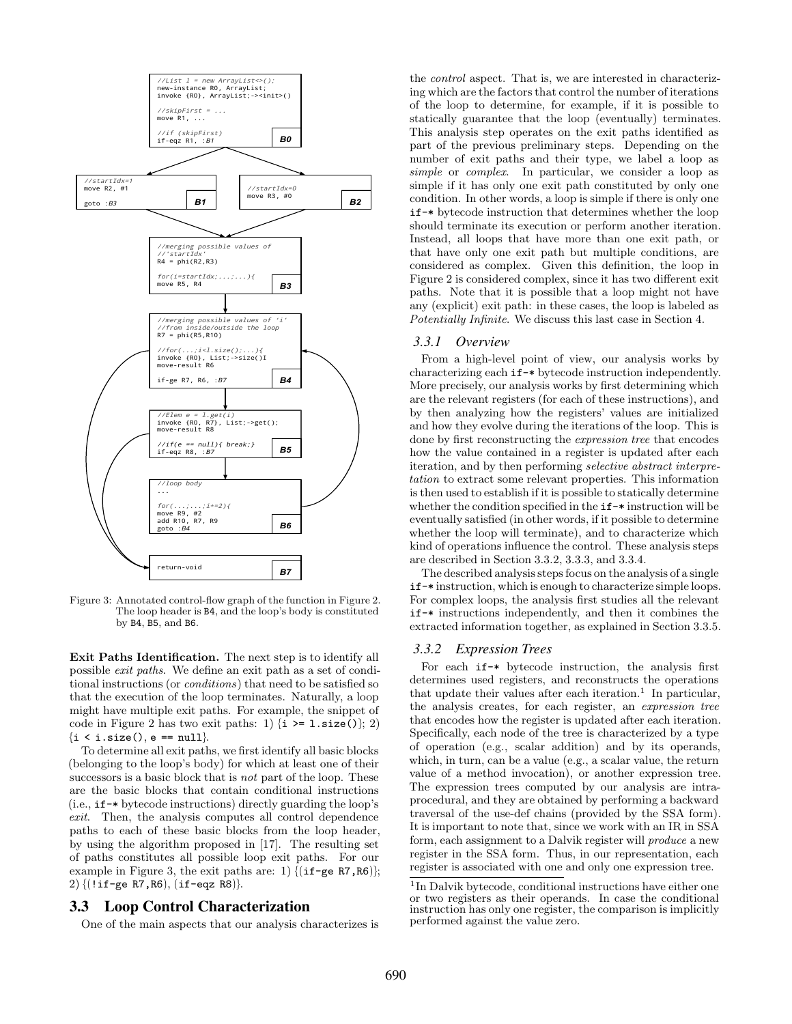<span id="page-3-0"></span>

Figure 3: Annotated control-flow graph of the function in Figure [2](#page-2-1). The loop header is B4, and the loop's body is constituted by B4, B5, and B6.

**Exit Paths Identification.** The next step is to identify all possible *exit paths*. We define an exit path as a set of conditional instructions (or *conditions*) that need to be satisfied so that the execution of the loop terminates. Naturally, a loop might have multiple exit paths. For example, the snippet of code in Figure [2](#page-2-1) has two exit paths: 1)  $\{i \ge 1$ . size() $\}$ ; 2)  $\{i \leq i \text{.size}(), e == null\}.$ 

To determine all exit paths, we first identify all basic blocks (belonging to the loop's body) for which at least one of their successors is a basic block that is *not* part of the loop. These are the basic blocks that contain conditional instructions (i.e., if-\* bytecode instructions) directly guarding the loop's *exit*. Then, the analysis computes all control dependence paths to each of these basic blocks from the loop header, by using the algorithm proposed in [\[17\]](#page-10-11). The resulting set of paths constitutes all possible loop exit paths. For our example in Figure [3,](#page-3-0) the exit paths are: 1)  $\{(\text{if-ge R7}, \text{R6})\};$ 2) {(!if-ge R7,R6), (if-eqz R8)}.

## <span id="page-3-3"></span>3.3 Loop Control Characterization

One of the main aspects that our analysis characterizes is

the *control* aspect. That is, we are interested in characterizing which are the factors that control the number of iterations of the loop to determine, for example, if it is possible to statically guarantee that the loop (eventually) terminates. This analysis step operates on the exit paths identified as part of the previous preliminary steps. Depending on the number of exit paths and their type, we label a loop as *simple* or *complex*. In particular, we consider a loop as simple if it has only one exit path constituted by only one condition. In other words, a loop is simple if there is only one if-\* bytecode instruction that determines whether the loop should terminate its execution or perform another iteration. Instead, all loops that have more than one exit path, or that have only one exit path but multiple conditions, are considered as complex. Given this definition, the loop in Figure [2](#page-2-1) is considered complex, since it has two different exit paths. Note that it is possible that a loop might not have any (explicit) exit path: in these cases, the loop is labeled as *Potentially Infinite*. We discuss this last case in Section [4.](#page-6-0)

## *3.3.1 Overview*

From a high-level point of view, our analysis works by characterizing each if-\* bytecode instruction independently. More precisely, our analysis works by first determining which are the relevant registers (for each of these instructions), and by then analyzing how the registers' values are initialized and how they evolve during the iterations of the loop. This is done by first reconstructing the *expression tree* that encodes how the value contained in a register is updated after each iteration, and by then performing *selective abstract interpretation* to extract some relevant properties. This information is then used to establish if it is possible to statically determine whether the condition specified in the if-\* instruction will be eventually satisfied (in other words, if it possible to determine whether the loop will terminate), and to characterize which kind of operations influence the control. These analysis steps are described in Section [3.3.2](#page-3-1), [3.3.3](#page-4-0), and [3.3.4](#page-5-0).

The described analysis steps focus on the analysis of a single if-\* instruction, which is enough to characterize simple loops. For complex loops, the analysis first studies all the relevant if-\* instructions independently, and then it combines the extracted information together, as explained in Section [3.3.5](#page-5-1).

#### <span id="page-3-1"></span>*3.3.2 Expression Trees*

For each if-\* bytecode instruction, the analysis first determines used registers, and reconstructs the operations that update their values after each iteration.<sup>[1](#page-3-2)</sup> In particular, the analysis creates, for each register, an *expression tree* that encodes how the register is updated after each iteration. Specifically, each node of the tree is characterized by a type of operation (e.g., scalar addition) and by its operands, which, in turn, can be a value (e.g., a scalar value, the return value of a method invocation), or another expression tree. The expression trees computed by our analysis are intraprocedural, and they are obtained by performing a backward traversal of the use-def chains (provided by the SSA form). It is important to note that, since we work with an IR in SSA form, each assignment to a Dalvik register will *produce* a new register in the SSA form. Thus, in our representation, each register is associated with one and only one expression tree.

<span id="page-3-2"></span><sup>&</sup>lt;sup>1</sup>In Dalvik bytecode, conditional instructions have either one or two registers as their operands. In case the conditional instruction has only one register, the comparison is implicitly performed against the value zero.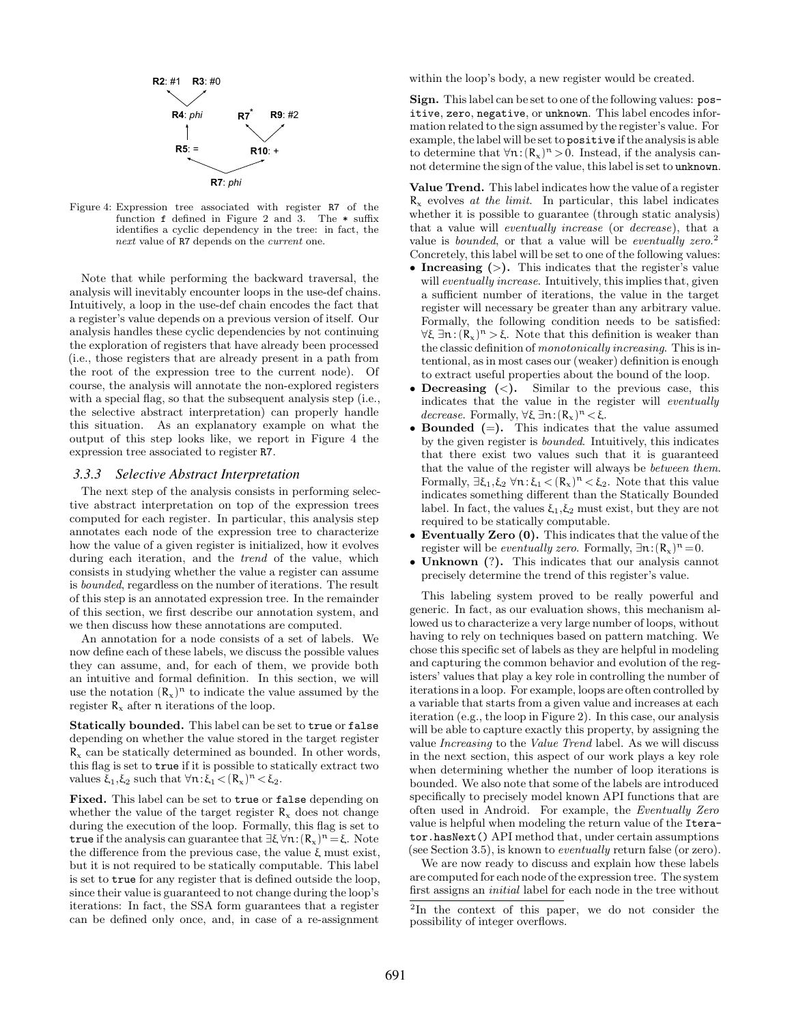<span id="page-4-1"></span>

Figure 4: Expression tree associated with register R7 of the function  $f$  defined in Figure [2](#page-2-1) and [3](#page-3-0). The  $*$  suffix identifies a cyclic dependency in the tree: in fact, the *next* value of R7 depends on the *current* one.

Note that while performing the backward traversal, the analysis will inevitably encounter loops in the use-def chains. Intuitively, a loop in the use-def chain encodes the fact that a register's value depends on a previous version of itself. Our analysis handles these cyclic dependencies by not continuing the exploration of registers that have already been processed (i.e., those registers that are already present in a path from the root of the expression tree to the current node). Of course, the analysis will annotate the non-explored registers with a special flag, so that the subsequent analysis step (i.e., the selective abstract interpretation) can properly handle this situation. As an explanatory example on what the output of this step looks like, we report in Figure [4](#page-4-1) the expression tree associated to register R7.

#### <span id="page-4-0"></span>*3.3.3 Selective Abstract Interpretation*

The next step of the analysis consists in performing selective abstract interpretation on top of the expression trees computed for each register. In particular, this analysis step annotates each node of the expression tree to characterize how the value of a given register is initialized, how it evolves during each iteration, and the *trend* of the value, which consists in studying whether the value a register can assume is *bounded*, regardless on the number of iterations. The result of this step is an annotated expression tree. In the remainder of this section, we first describe our annotation system, and we then discuss how these annotations are computed.

An annotation for a node consists of a set of labels. We now define each of these labels, we discuss the possible values they can assume, and, for each of them, we provide both an intuitive and formal definition. In this section, we will use the notation  $(R_x)^n$  to indicate the value assumed by the register  $R_x$  after n iterations of the loop.

**Statically bounded.** This label can be set to true or false depending on whether the value stored in the target register  $R<sub>x</sub>$  can be statically determined as bounded. In other words, this flag is set to true if it is possible to statically extract two values  $\xi_1, \xi_2$  such that  $\forall n: \xi_1 < (R_x)^n < \xi_2$ .

**Fixed.** This label can be set to true or false depending on whether the value of the target register  $\mathsf{R}_{\mathsf{x}}$  does not change during the execution of the loop. Formally, this flag is set to true if the analysis can guarantee that *∃*ξ *∀*n: (Rx) <sup>n</sup> =ξ. Note the difference from the previous case, the value ξ must exist, but it is not required to be statically computable. This label is set to true for any register that is defined outside the loop, since their value is guaranteed to not change during the loop's iterations: In fact, the SSA form guarantees that a register can be defined only once, and, in case of a re-assignment within the loop's body, a new register would be created.

**Sign.** This label can be set to one of the following values: positive, zero, negative, or unknown. This label encodes information related to the sign assumed by the register's value. For example, the label will be set to positive if the analysis is able to determine that  $\forall n: (R_x)^n > 0$ . Instead, if the analysis cannot determine the sign of the value, this label is set to unknown.

**Value Trend.** This label indicates how the value of a register  $R_x$  evolves *at the limit*. In particular, this label indicates whether it is possible to guarantee (through static analysis) that a value will *eventually increase* (or *decrease*), that a value is *bounded*, or that a value will be *eventually zero*. [2](#page-4-2) Concretely, this label will be set to one of the following values:

- **Increasing** (>). This indicates that the register's value will *eventually increase*. Intuitively, this implies that, given a sufficient number of iterations, the value in the target register will necessary be greater than any arbitrary value. Formally, the following condition needs to be satisfied: *∀ξ*  $\exists n : (R_x)^n > \xi$ . Note that this definition is weaker than the classic definition of *monotonically increasing*. This is intentional, as in most cases our (weaker) definition is enough to extract useful properties about the bound of the loop.
- *•* **Decreasing (**<**).** Similar to the previous case, this indicates that the value in the register will *eventually decrease.* Formally,  $\forall \xi \exists n : (R_x)^n < \xi$ .
- *•* **Bounded (**=**).** This indicates that the value assumed by the given register is *bounded*. Intuitively, this indicates that there exist two values such that it is guaranteed that the value of the register will always be *between them*. Formally,  $\exists \xi_1, \xi_2 \,\forall n: \xi_1 < (R_x)^n < \xi_2$ . Note that this value indicates something different than the Statically Bounded label. In fact, the values  $\xi_1, \xi_2$  must exist, but they are not required to be statically computable.
- *•* **Eventually Zero (0).** This indicates that the value of the register will be *eventually zero*. Formally,  $\exists n : (R_x)^n = 0$ .
- *•* **Unknown (**?**).** This indicates that our analysis cannot precisely determine the trend of this register's value.

This labeling system proved to be really powerful and generic. In fact, as our evaluation shows, this mechanism allowed us to characterize a very large number of loops, without having to rely on techniques based on pattern matching. We chose this specific set of labels as they are helpful in modeling and capturing the common behavior and evolution of the registers' values that play a key role in controlling the number of iterations in a loop. For example, loops are often controlled by a variable that starts from a given value and increases at each iteration (e.g., the loop in Figure [2](#page-2-1)). In this case, our analysis will be able to capture exactly this property, by assigning the value *Increasing* to the *Value Trend* label. As we will discuss in the next section, this aspect of our work plays a key role when determining whether the number of loop iterations is bounded. We also note that some of the labels are introduced specifically to precisely model known API functions that are often used in Android. For example, the *Eventually Zero* value is helpful when modeling the return value of the Iterator.hasNext() API method that, under certain assumptions (see Section [3.5](#page-6-1)), is known to *eventually* return false (or zero).

We are now ready to discuss and explain how these labels are computed for each node of the expression tree. The system first assigns an *initial* label for each node in the tree without

<span id="page-4-2"></span><sup>2</sup> In the context of this paper, we do not consider the possibility of integer overflows.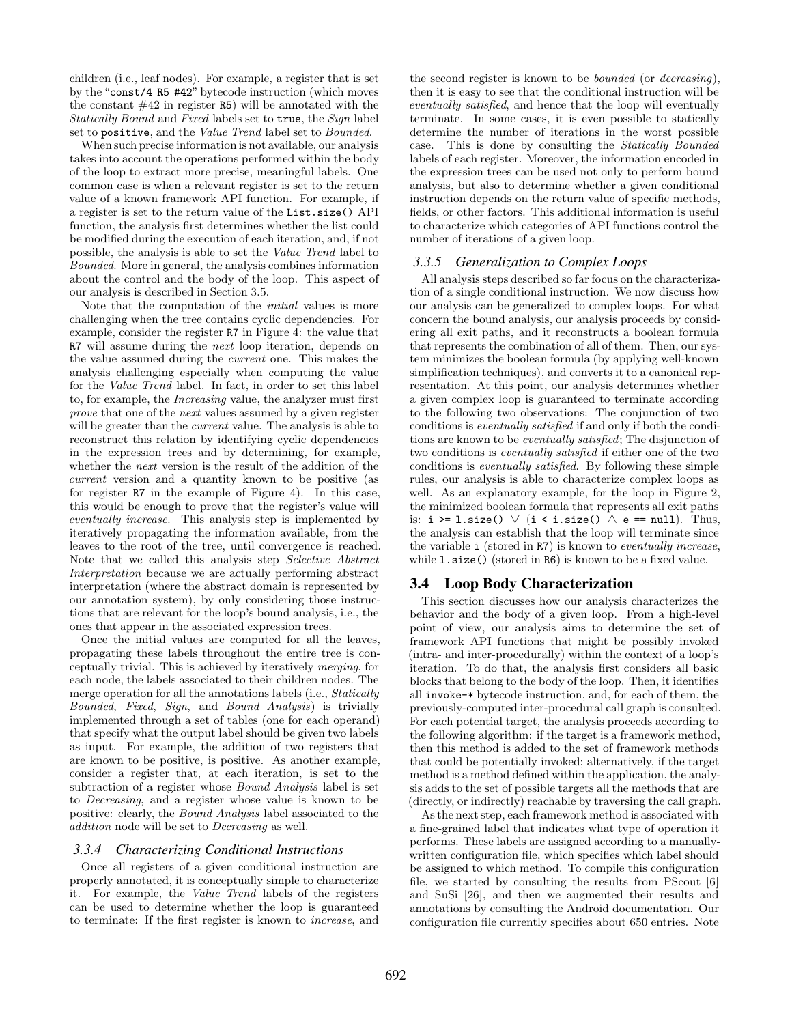children (i.e., leaf nodes). For example, a register that is set by the "const/4 R5 #42" bytecode instruction (which moves the constant  $#42$  in register R5) will be annotated with the *Statically Bound* and *Fixed* labels set to true, the *Sign* label set to positive, and the *Value Trend* label set to *Bounded*.

When such precise information is not available, our analysis takes into account the operations performed within the body of the loop to extract more precise, meaningful labels. One common case is when a relevant register is set to the return value of a known framework API function. For example, if a register is set to the return value of the List.size() API function, the analysis first determines whether the list could be modified during the execution of each iteration, and, if not possible, the analysis is able to set the *Value Trend* label to *Bounded*. More in general, the analysis combines information about the control and the body of the loop. This aspect of our analysis is described in Section [3.5.](#page-6-1)

Note that the computation of the *initial* values is more challenging when the tree contains cyclic dependencies. For example, consider the register R7 in Figure [4](#page-4-1): the value that R7 will assume during the *next* loop iteration, depends on the value assumed during the *current* one. This makes the analysis challenging especially when computing the value for the *Value Trend* label. In fact, in order to set this label to, for example, the *Increasing* value, the analyzer must first *prove* that one of the *next* values assumed by a given register will be greater than the *current* value. The analysis is able to reconstruct this relation by identifying cyclic dependencies in the expression trees and by determining, for example, whether the *next* version is the result of the addition of the *current* version and a quantity known to be positive (as for register R7 in the example of Figure [4\)](#page-4-1). In this case, this would be enough to prove that the register's value will *eventually increase*. This analysis step is implemented by iteratively propagating the information available, from the leaves to the root of the tree, until convergence is reached. Note that we called this analysis step *Selective Abstract Interpretation* because we are actually performing abstract interpretation (where the abstract domain is represented by our annotation system), by only considering those instructions that are relevant for the loop's bound analysis, i.e., the ones that appear in the associated expression trees.

Once the initial values are computed for all the leaves, propagating these labels throughout the entire tree is conceptually trivial. This is achieved by iteratively *merging*, for each node, the labels associated to their children nodes. The merge operation for all the annotations labels (i.e., *Statically Bounded*, *Fixed*, *Sign*, and *Bound Analysis*) is trivially implemented through a set of tables (one for each operand) that specify what the output label should be given two labels as input. For example, the addition of two registers that are known to be positive, is positive. As another example, consider a register that, at each iteration, is set to the subtraction of a register whose *Bound Analysis* label is set to *Decreasing*, and a register whose value is known to be positive: clearly, the *Bound Analysis* label associated to the *addition* node will be set to *Decreasing* as well.

#### <span id="page-5-0"></span>*3.3.4 Characterizing Conditional Instructions*

Once all registers of a given conditional instruction are properly annotated, it is conceptually simple to characterize it. For example, the *Value Trend* labels of the registers can be used to determine whether the loop is guaranteed to terminate: If the first register is known to *increase*, and the second register is known to be *bounded* (or *decreasing*), then it is easy to see that the conditional instruction will be *eventually satisfied*, and hence that the loop will eventually terminate. In some cases, it is even possible to statically determine the number of iterations in the worst possible case. This is done by consulting the *Statically Bounded* labels of each register. Moreover, the information encoded in the expression trees can be used not only to perform bound analysis, but also to determine whether a given conditional instruction depends on the return value of specific methods, fields, or other factors. This additional information is useful to characterize which categories of API functions control the number of iterations of a given loop.

#### <span id="page-5-1"></span>*3.3.5 Generalization to Complex Loops*

All analysis steps described so far focus on the characterization of a single conditional instruction. We now discuss how our analysis can be generalized to complex loops. For what concern the bound analysis, our analysis proceeds by considering all exit paths, and it reconstructs a boolean formula that represents the combination of all of them. Then, our system minimizes the boolean formula (by applying well-known simplification techniques), and converts it to a canonical representation. At this point, our analysis determines whether a given complex loop is guaranteed to terminate according to the following two observations: The conjunction of two conditions is *eventually satisfied* if and only if both the conditions are known to be *eventually satisfied*; The disjunction of two conditions is *eventually satisfied* if either one of the two conditions is *eventually satisfied*. By following these simple rules, our analysis is able to characterize complex loops as well. As an explanatory example, for the loop in Figure [2,](#page-2-1) the minimized boolean formula that represents all exit paths is: i >= 1.size()  $\vee$  (i < i.size()  $\wedge$  e == null). Thus, the analysis can establish that the loop will terminate since the variable i (stored in R7) is known to *eventually increase*, while **1**.size() (stored in R6) is known to be a fixed value.

## <span id="page-5-2"></span>3.4 Loop Body Characterization

This section discusses how our analysis characterizes the behavior and the body of a given loop. From a high-level point of view, our analysis aims to determine the set of framework API functions that might be possibly invoked (intra- and inter-procedurally) within the context of a loop's iteration. To do that, the analysis first considers all basic blocks that belong to the body of the loop. Then, it identifies all invoke-\* bytecode instruction, and, for each of them, the previously-computed inter-procedural call graph is consulted. For each potential target, the analysis proceeds according to the following algorithm: if the target is a framework method, then this method is added to the set of framework methods that could be potentially invoked; alternatively, if the target method is a method defined within the application, the analysis adds to the set of possible targets all the methods that are (directly, or indirectly) reachable by traversing the call graph.

As the next step, each framework method is associated with a fine-grained label that indicates what type of operation it performs. These labels are assigned according to a manuallywritten configuration file, which specifies which label should be assigned to which method. To compile this configuration file, we started by consulting the results from PScout [[6](#page-10-12)] and SuSi [\[26\]](#page-10-13), and then we augmented their results and annotations by consulting the Android documentation. Our configuration file currently specifies about 650 entries. Note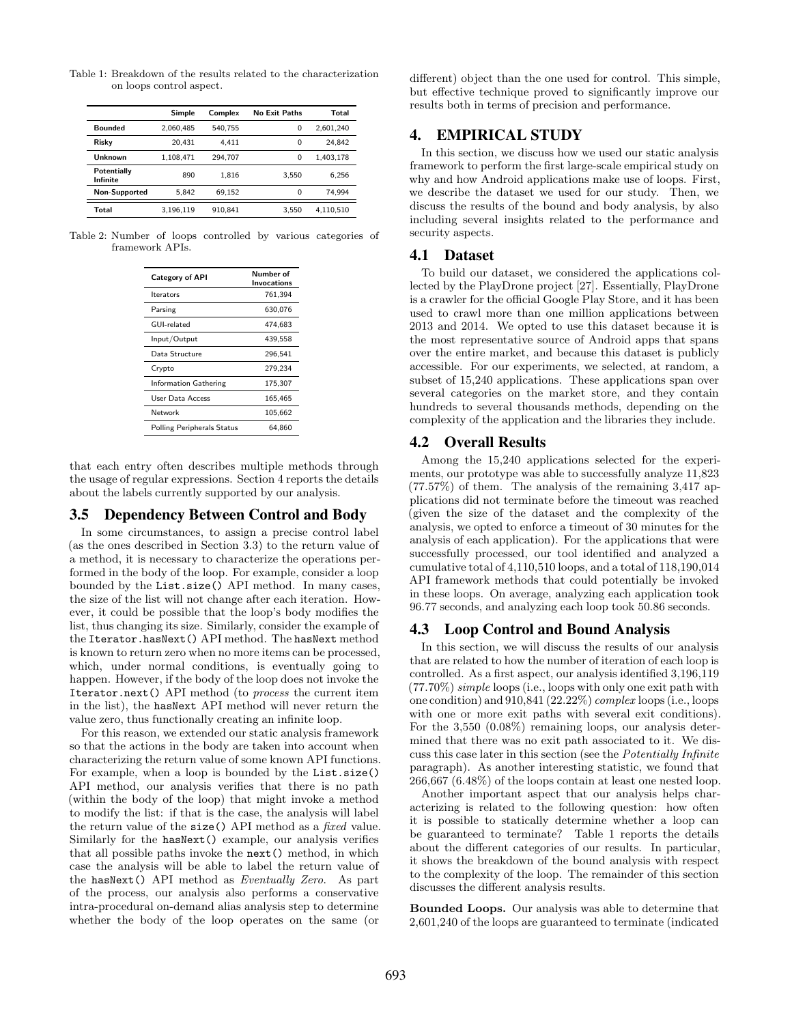|                                | Simple    | Complex | <b>No Exit Paths</b> | Total     |
|--------------------------------|-----------|---------|----------------------|-----------|
| Bounded                        | 2.060.485 | 540.755 | 0                    | 2.601.240 |
| Risky                          | 20.431    | 4.411   | $\Omega$             | 24.842    |
| Unknown                        | 1.108.471 | 294.707 | 0                    | 1.403.178 |
| <b>Potentially</b><br>Infinite | 890       | 1.816   | 3.550                | 6.256     |
| Non-Supported                  | 5.842     | 69.152  | $\Omega$             | 74.994    |
| Total                          | 3.196.119 | 910.841 | 3.550                | 4.110.510 |

<span id="page-6-2"></span>Table 1: Breakdown of the results related to the characterization on loops control aspect.

<span id="page-6-3"></span>Table 2: Number of loops controlled by various categories of framework APIs.

| <b>Category of API</b>            | Number of<br>Invocations |
|-----------------------------------|--------------------------|
| Iterators                         | 761,394                  |
| Parsing                           | 630.076                  |
| GUL-related                       | 474.683                  |
| Input/Output                      | 439.558                  |
| Data Structure                    | 296.541                  |
| Crypto                            | 279,234                  |
| <b>Information Gathering</b>      | 175.307                  |
| User Data Access                  | 165.465                  |
| Network                           | 105.662                  |
| <b>Polling Peripherals Status</b> | 64.860                   |

that each entry often describes multiple methods through the usage of regular expressions. Section [4](#page-6-0) reports the details about the labels currently supported by our analysis.

# <span id="page-6-1"></span>3.5 Dependency Between Control and Body

In some circumstances, to assign a precise control label (as the ones described in Section [3.3\)](#page-3-3) to the return value of a method, it is necessary to characterize the operations performed in the body of the loop. For example, consider a loop bounded by the List.size() API method. In many cases, the size of the list will not change after each iteration. However, it could be possible that the loop's body modifies the list, thus changing its size. Similarly, consider the example of the Iterator.hasNext() API method. The hasNext method is known to return zero when no more items can be processed, which, under normal conditions, is eventually going to happen. However, if the body of the loop does not invoke the Iterator.next() API method (to *process* the current item in the list), the hasNext API method will never return the value zero, thus functionally creating an infinite loop.

For this reason, we extended our static analysis framework so that the actions in the body are taken into account when characterizing the return value of some known API functions. For example, when a loop is bounded by the List.size() API method, our analysis verifies that there is no path (within the body of the loop) that might invoke a method to modify the list: if that is the case, the analysis will label the return value of the size() API method as a *fixed* value. Similarly for the hasNext() example, our analysis verifies that all possible paths invoke the next() method, in which case the analysis will be able to label the return value of the hasNext() API method as *Eventually Zero*. As part of the process, our analysis also performs a conservative intra-procedural on-demand alias analysis step to determine whether the body of the loop operates on the same (or

different) object than the one used for control. This simple, but effective technique proved to significantly improve our results both in terms of precision and performance.

# <span id="page-6-0"></span>4. EMPIRICAL STUDY

In this section, we discuss how we used our static analysis framework to perform the first large-scale empirical study on why and how Android applications make use of loops. First, we describe the dataset we used for our study. Then, we discuss the results of the bound and body analysis, by also including several insights related to the performance and security aspects.

## 4.1 Dataset

To build our dataset, we considered the applications collected by the PlayDrone project [\[27](#page-10-14)]. Essentially, PlayDrone is a crawler for the official Google Play Store, and it has been used to crawl more than one million applications between 2013 and 2014. We opted to use this dataset because it is the most representative source of Android apps that spans over the entire market, and because this dataset is publicly accessible. For our experiments, we selected, at random, a subset of 15,240 applications. These applications span over several categories on the market store, and they contain hundreds to several thousands methods, depending on the complexity of the application and the libraries they include.

# 4.2 Overall Results

Among the 15,240 applications selected for the experiments, our prototype was able to successfully analyze 11,823 (77.57%) of them. The analysis of the remaining 3,417 applications did not terminate before the timeout was reached (given the size of the dataset and the complexity of the analysis, we opted to enforce a timeout of 30 minutes for the analysis of each application). For the applications that were successfully processed, our tool identified and analyzed a cumulative total of 4,110,510 loops, and a total of 118,190,014 API framework methods that could potentially be invoked in these loops. On average, analyzing each application took 96.77 seconds, and analyzing each loop took 50.86 seconds.

# 4.3 Loop Control and Bound Analysis

In this section, we will discuss the results of our analysis that are related to how the number of iteration of each loop is controlled. As a first aspect, our analysis identified 3,196,119 (77.70%) *simple* loops (i.e., loops with only one exit path with one condition) and 910,841 (22.22%) *complex* loops (i.e., loops with one or more exit paths with several exit conditions). For the 3,550 (0.08%) remaining loops, our analysis determined that there was no exit path associated to it. We discuss this case later in this section (see the *Potentially Infinite* paragraph). As another interesting statistic, we found that 266,667 (6.48%) of the loops contain at least one nested loop.

Another important aspect that our analysis helps characterizing is related to the following question: how often it is possible to statically determine whether a loop can be guaranteed to terminate? Table [1](#page-6-2) reports the details about the different categories of our results. In particular, it shows the breakdown of the bound analysis with respect to the complexity of the loop. The remainder of this section discusses the different analysis results.

**Bounded Loops.** Our analysis was able to determine that 2,601,240 of the loops are guaranteed to terminate (indicated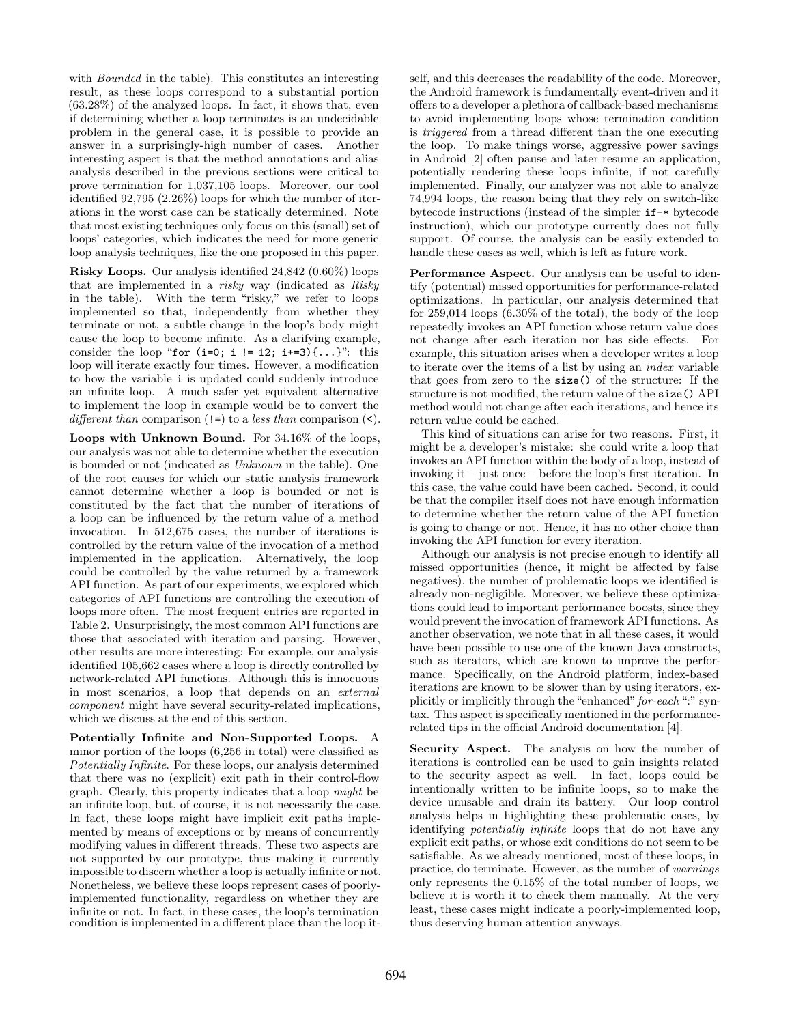with *Bounded* in the table). This constitutes an interesting result, as these loops correspond to a substantial portion (63.28%) of the analyzed loops. In fact, it shows that, even if determining whether a loop terminates is an undecidable problem in the general case, it is possible to provide an answer in a surprisingly-high number of cases. Another interesting aspect is that the method annotations and alias analysis described in the previous sections were critical to prove termination for 1,037,105 loops. Moreover, our tool identified 92,795 (2.26%) loops for which the number of iterations in the worst case can be statically determined. Note that most existing techniques only focus on this (small) set of loops' categories, which indicates the need for more generic loop analysis techniques, like the one proposed in this paper.

**Risky Loops.** Our analysis identified 24,842 (0.60%) loops that are implemented in a *risky* way (indicated as *Risky* in the table). With the term "risky," we refer to loops implemented so that, independently from whether they terminate or not, a subtle change in the loop's body might cause the loop to become infinite. As a clarifying example, consider the loop "for  $(i=0; i != 12; i+=3)$  {...}"; this loop will iterate exactly four times. However, a modification to how the variable i is updated could suddenly introduce an infinite loop. A much safer yet equivalent alternative to implement the loop in example would be to convert the *different than* comparison (!=) to a *less than* comparison (<).

**Loops with Unknown Bound.** For 34.16% of the loops, our analysis was not able to determine whether the execution is bounded or not (indicated as *Unknown* in the table). One of the root causes for which our static analysis framework cannot determine whether a loop is bounded or not is constituted by the fact that the number of iterations of a loop can be influenced by the return value of a method invocation. In 512,675 cases, the number of iterations is controlled by the return value of the invocation of a method implemented in the application. Alternatively, the loop could be controlled by the value returned by a framework API function. As part of our experiments, we explored which categories of API functions are controlling the execution of loops more often. The most frequent entries are reported in Table [2](#page-6-3). Unsurprisingly, the most common API functions are those that associated with iteration and parsing. However, other results are more interesting: For example, our analysis identified 105,662 cases where a loop is directly controlled by network-related API functions. Although this is innocuous in most scenarios, a loop that depends on an *external component* might have several security-related implications, which we discuss at the end of this section.

**Potentially Infinite and Non-Supported Loops.** A minor portion of the loops (6,256 in total) were classified as *Potentially Infinite*. For these loops, our analysis determined that there was no (explicit) exit path in their control-flow graph. Clearly, this property indicates that a loop *might* be an infinite loop, but, of course, it is not necessarily the case. In fact, these loops might have implicit exit paths implemented by means of exceptions or by means of concurrently modifying values in different threads. These two aspects are not supported by our prototype, thus making it currently impossible to discern whether a loop is actually infinite or not. Nonetheless, we believe these loops represent cases of poorlyimplemented functionality, regardless on whether they are infinite or not. In fact, in these cases, the loop's termination condition is implemented in a different place than the loop itself, and this decreases the readability of the code. Moreover, the Android framework is fundamentally event-driven and it offers to a developer a plethora of callback-based mechanisms to avoid implementing loops whose termination condition is *triggered* from a thread different than the one executing the loop. To make things worse, aggressive power savings in Android [\[2](#page-10-15)] often pause and later resume an application, potentially rendering these loops infinite, if not carefully implemented. Finally, our analyzer was not able to analyze 74,994 loops, the reason being that they rely on switch-like bytecode instructions (instead of the simpler if-\* bytecode instruction), which our prototype currently does not fully support. Of course, the analysis can be easily extended to handle these cases as well, which is left as future work.

**Performance Aspect.** Our analysis can be useful to identify (potential) missed opportunities for performance-related optimizations. In particular, our analysis determined that for 259,014 loops (6.30% of the total), the body of the loop repeatedly invokes an API function whose return value does not change after each iteration nor has side effects. For example, this situation arises when a developer writes a loop to iterate over the items of a list by using an *index* variable that goes from zero to the size() of the structure: If the structure is not modified, the return value of the size() API method would not change after each iterations, and hence its return value could be cached.

This kind of situations can arise for two reasons. First, it might be a developer's mistake: she could write a loop that invokes an API function within the body of a loop, instead of invoking it – just once – before the loop's first iteration. In this case, the value could have been cached. Second, it could be that the compiler itself does not have enough information to determine whether the return value of the API function is going to change or not. Hence, it has no other choice than invoking the API function for every iteration.

Although our analysis is not precise enough to identify all missed opportunities (hence, it might be affected by false negatives), the number of problematic loops we identified is already non-negligible. Moreover, we believe these optimizations could lead to important performance boosts, since they would prevent the invocation of framework API functions. As another observation, we note that in all these cases, it would have been possible to use one of the known Java constructs, such as iterators, which are known to improve the performance. Specifically, on the Android platform, index-based iterations are known to be slower than by using iterators, explicitly or implicitly through the "enhanced" *for-each* ":" syntax. This aspect is specifically mentioned in the performancerelated tips in the official Android documentation [\[4\]](#page-10-16).

**Security Aspect.** The analysis on how the number of iterations is controlled can be used to gain insights related to the security aspect as well. In fact, loops could be intentionally written to be infinite loops, so to make the device unusable and drain its battery. Our loop control analysis helps in highlighting these problematic cases, by identifying *potentially infinite* loops that do not have any explicit exit paths, or whose exit conditions do not seem to be satisfiable. As we already mentioned, most of these loops, in practice, do terminate. However, as the number of *warnings* only represents the 0.15% of the total number of loops, we believe it is worth it to check them manually. At the very least, these cases might indicate a poorly-implemented loop, thus deserving human attention anyways.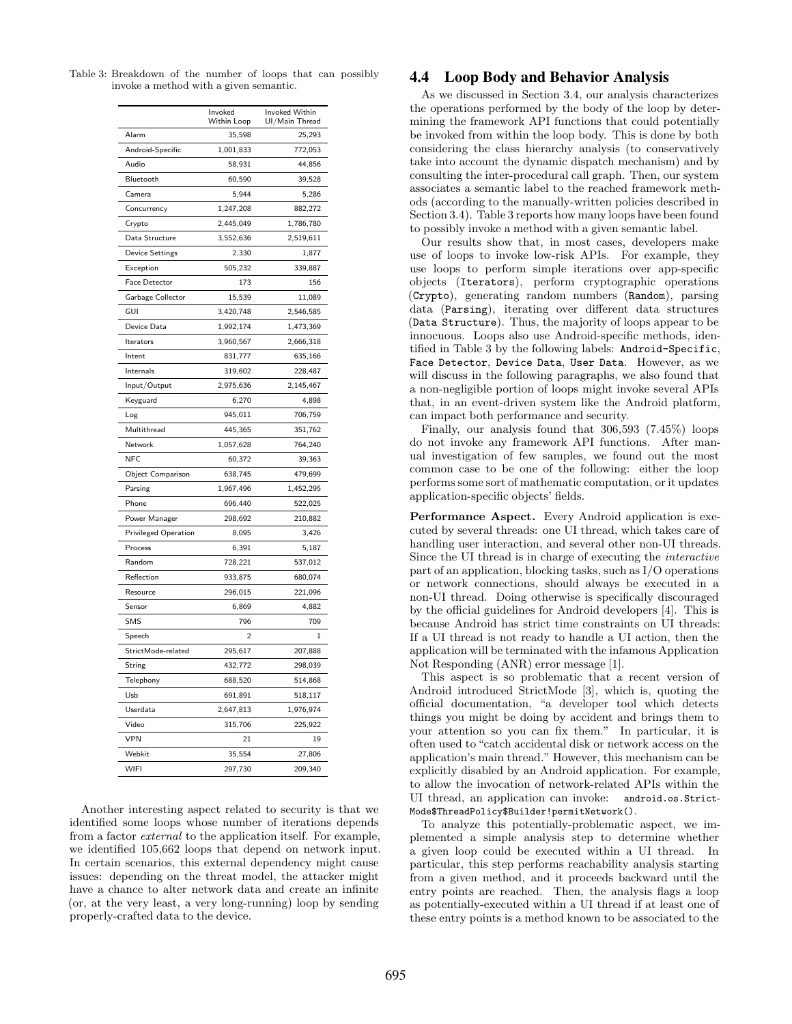|                          | Invoked<br>Within Loop | <b>Invoked Within</b><br>UI/Main Thread |
|--------------------------|------------------------|-----------------------------------------|
| Alarm                    | 35,598                 | 25,293                                  |
| Android-Specific         | 1,001,833              | 772,053                                 |
| Audio                    | 58,931                 | 44,856                                  |
| Bluetooth                | 60,590                 | 39,528                                  |
| Camera                   | 5,944                  | 5,286                                   |
| Concurrency              | 1,247,208              | 882,272                                 |
| Crypto                   | 2,445,049              | 1,786,780                               |
| Data Structure           | 3,552,636              | 2,519,611                               |
| <b>Device Settings</b>   | 2,330                  | 1,877                                   |
| Exception                | 505,232                | 339,887                                 |
| Face Detector            | 173                    | 156                                     |
|                          | 15,539                 | 11,089                                  |
| Garbage Collector<br>GUI | 3,420,748              | 2,546,585                               |
| Device Data              | 1,992,174              | 1,473,369                               |
|                          |                        |                                         |
| Iterators                | 3,960,567              | 2,666,318                               |
| Intent                   | 831,777                | 635,166                                 |
| Internals                | 319,602                | 228,487                                 |
| Input/Output             | 2,975,636              | 2,145,467                               |
| Keyguard                 | 6,270                  | 4,898                                   |
| Log                      | 945,011                | 706,759                                 |
| Multithread              | 445,365                | 351,762                                 |
| Network                  | 1,057,628              | 764,240                                 |
| <b>NFC</b>               | 60,372                 | 39,363                                  |
| Object Comparison        | 638,745                | 479,699                                 |
| Parsing                  | 1,967,496              | 1,452,295                               |
| Phone                    | 696,440                | 522,025                                 |
| Power Manager            | 298,692                | 210,882                                 |
| Privileged Operation     | 8,095                  | 3,426                                   |
| Process                  | 6,391                  | 5,187                                   |
| Random                   | 728,221                | 537,012                                 |
| Reflection               | 933,875                | 680,074                                 |
| Resource                 | 296,015                | 221,096                                 |
| Sensor                   | 6,869                  | 4,882                                   |
| <b>SMS</b>               | 796                    | 709                                     |
| Speech                   | 2                      | 1                                       |
| StrictMode-related       | 295,617                | 207,888                                 |
| String                   | 432,772                | 298,039                                 |
| Telephony                | 688,520                | 514,868                                 |
| Usb                      | 691,891                | 518,117                                 |
| Userdata                 | 2,647,813              | 1,976,974                               |
| Video                    | 315,706                | 225,922                                 |
| <b>VPN</b>               | 21                     | 19                                      |
| Webkit                   | 35,554                 | 27,806                                  |
| <b>WIFI</b>              | 297,730                | 209,340                                 |
|                          |                        |                                         |

<span id="page-8-0"></span>Table 3: Breakdown of the number of loops that can possibly invoke a method with a given semantic.

Another interesting aspect related to security is that we identified some loops whose number of iterations depends from a factor *external* to the application itself. For example, we identified 105,662 loops that depend on network input. In certain scenarios, this external dependency might cause issues: depending on the threat model, the attacker might have a chance to alter network data and create an infinite (or, at the very least, a very long-running) loop by sending properly-crafted data to the device.

# 4.4 Loop Body and Behavior Analysis

As we discussed in Section [3.4,](#page-5-2) our analysis characterizes the operations performed by the body of the loop by determining the framework API functions that could potentially be invoked from within the loop body. This is done by both considering the class hierarchy analysis (to conservatively take into account the dynamic dispatch mechanism) and by consulting the inter-procedural call graph. Then, our system associates a semantic label to the reached framework methods (according to the manually-written policies described in Section [3.4](#page-5-2)). Table [3](#page-8-0) reports how many loops have been found to possibly invoke a method with a given semantic label.

Our results show that, in most cases, developers make use of loops to invoke low-risk APIs. For example, they use loops to perform simple iterations over app-specific objects (Iterators), perform cryptographic operations (Crypto), generating random numbers (Random), parsing data (Parsing), iterating over different data structures (Data Structure). Thus, the majority of loops appear to be innocuous. Loops also use Android-specific methods, identified in Table [3](#page-8-0) by the following labels: Android-Specific, Face Detector, Device Data, User Data. However, as we will discuss in the following paragraphs, we also found that a non-negligible portion of loops might invoke several APIs that, in an event-driven system like the Android platform, can impact both performance and security.

Finally, our analysis found that 306,593 (7.45%) loops do not invoke any framework API functions. After manual investigation of few samples, we found out the most common case to be one of the following: either the loop performs some sort of mathematic computation, or it updates application-specific objects' fields.

**Performance Aspect.** Every Android application is executed by several threads: one UI thread, which takes care of handling user interaction, and several other non-UI threads. Since the UI thread is in charge of executing the *interactive* part of an application, blocking tasks, such as I/O operations or network connections, should always be executed in a non-UI thread. Doing otherwise is specifically discouraged by the official guidelines for Android developers [[4\]](#page-10-16). This is because Android has strict time constraints on UI threads: If a UI thread is not ready to handle a UI action, then the application will be terminated with the infamous Application Not Responding (ANR) error message [\[1\]](#page-10-17).

This aspect is so problematic that a recent version of Android introduced StrictMode [[3](#page-10-18)], which is, quoting the official documentation, "a developer tool which detects things you might be doing by accident and brings them to your attention so you can fix them." In particular, it is often used to "catch accidental disk or network access on the application's main thread." However, this mechanism can be explicitly disabled by an Android application. For example, to allow the invocation of network-related APIs within the UI thread, an application can invoke: android.os.Strict-Mode\$ThreadPolicy\$Builder!permitNetwork().

To analyze this potentially-problematic aspect, we implemented a simple analysis step to determine whether a given loop could be executed within a UI thread. In particular, this step performs reachability analysis starting from a given method, and it proceeds backward until the entry points are reached. Then, the analysis flags a loop as potentially-executed within a UI thread if at least one of these entry points is a method known to be associated to the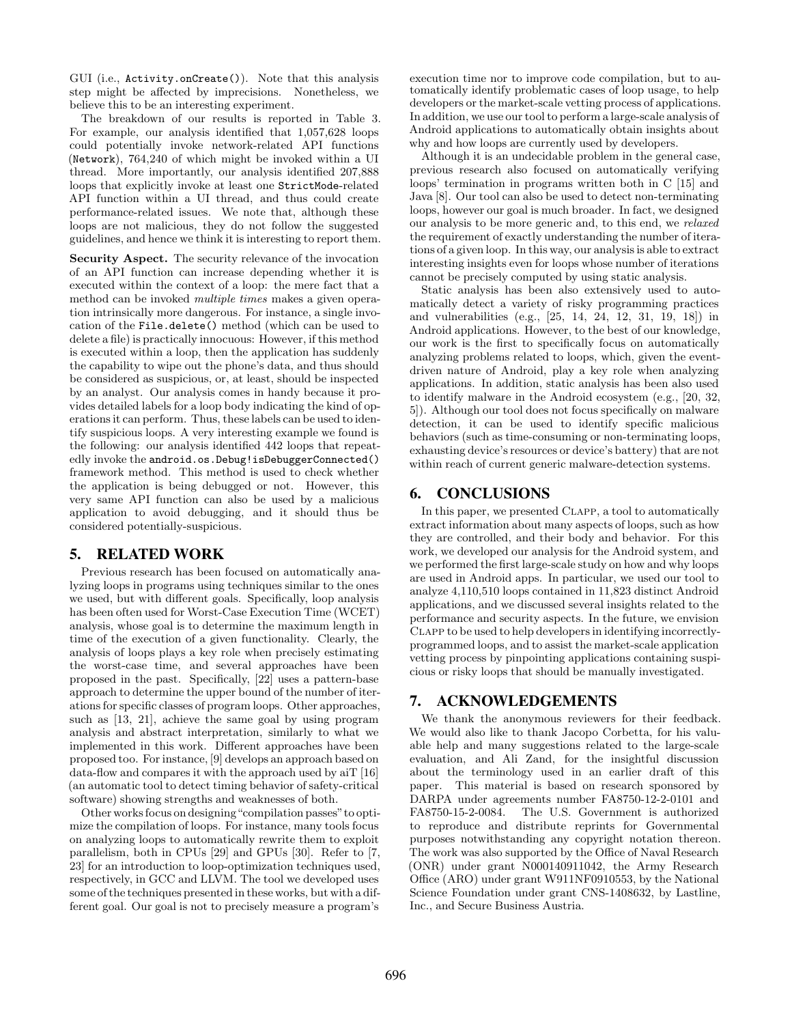GUI (i.e., Activity.onCreate()). Note that this analysis step might be affected by imprecisions. Nonetheless, we believe this to be an interesting experiment.

The breakdown of our results is reported in Table [3](#page-8-0). For example, our analysis identified that 1,057,628 loops could potentially invoke network-related API functions (Network), 764,240 of which might be invoked within a UI thread. More importantly, our analysis identified 207,888 loops that explicitly invoke at least one StrictMode-related API function within a UI thread, and thus could create performance-related issues. We note that, although these loops are not malicious, they do not follow the suggested guidelines, and hence we think it is interesting to report them.

**Security Aspect.** The security relevance of the invocation of an API function can increase depending whether it is executed within the context of a loop: the mere fact that a method can be invoked *multiple times* makes a given operation intrinsically more dangerous. For instance, a single invocation of the File.delete() method (which can be used to delete a file) is practically innocuous: However, if this method is executed within a loop, then the application has suddenly the capability to wipe out the phone's data, and thus should be considered as suspicious, or, at least, should be inspected by an analyst. Our analysis comes in handy because it provides detailed labels for a loop body indicating the kind of operations it can perform. Thus, these labels can be used to identify suspicious loops. A very interesting example we found is the following: our analysis identified 442 loops that repeatedly invoke the android.os.Debug!isDebuggerConnected() framework method. This method is used to check whether the application is being debugged or not. However, this very same API function can also be used by a malicious application to avoid debugging, and it should thus be considered potentially-suspicious.

# 5. RELATED WORK

Previous research has been focused on automatically analyzing loops in programs using techniques similar to the ones we used, but with different goals. Specifically, loop analysis has been often used for Worst-Case Execution Time (WCET) analysis, whose goal is to determine the maximum length in time of the execution of a given functionality. Clearly, the analysis of loops plays a key role when precisely estimating the worst-case time, and several approaches have been proposed in the past. Specifically, [[22\]](#page-10-4) uses a pattern-base approach to determine the upper bound of the number of iterations for specific classes of program loops. Other approaches, such as [[13,](#page-10-5) [21\]](#page-10-6), achieve the same goal by using program analysis and abstract interpretation, similarly to what we implemented in this work. Different approaches have been proposed too. For instance, [[9\]](#page-10-7) develops an approach based on data-flow and compares it with the approach used by aiT [[16](#page-10-19)] (an automatic tool to detect timing behavior of safety-critical software) showing strengths and weaknesses of both.

Other works focus on designing"compilation passes"to optimize the compilation of loops. For instance, many tools focus on analyzing loops to automatically rewrite them to exploit parallelism, both in CPUs [\[29\]](#page-10-0) and GPUs [\[30](#page-10-1)]. Refer to [[7,](#page-10-2) [23](#page-10-3)] for an introduction to loop-optimization techniques used, respectively, in GCC and LLVM. The tool we developed uses some of the techniques presented in these works, but with a different goal. Our goal is not to precisely measure a program's execution time nor to improve code compilation, but to automatically identify problematic cases of loop usage, to help developers or the market-scale vetting process of applications. In addition, we use our tool to perform a large-scale analysis of Android applications to automatically obtain insights about why and how loops are currently used by developers.

Although it is an undecidable problem in the general case, previous research also focused on automatically verifying loops' termination in programs written both in C [[15\]](#page-10-20) and Java [\[8\]](#page-10-21). Our tool can also be used to detect non-terminating loops, however our goal is much broader. In fact, we designed our analysis to be more generic and, to this end, we *relaxed* the requirement of exactly understanding the number of iterations of a given loop. In this way, our analysis is able to extract interesting insights even for loops whose number of iterations cannot be precisely computed by using static analysis.

Static analysis has been also extensively used to automatically detect a variety of risky programming practices and vulnerabilities (e.g., [\[25](#page-10-22), [14,](#page-10-23) [24,](#page-10-24) [12,](#page-10-25) [31,](#page-10-26) [19](#page-10-27), [18](#page-10-28)]) in Android applications. However, to the best of our knowledge, our work is the first to specifically focus on automatically analyzing problems related to loops, which, given the eventdriven nature of Android, play a key role when analyzing applications. In addition, static analysis has been also used to identify malware in the Android ecosystem (e.g., [\[20,](#page-10-29) [32,](#page-10-30) [5](#page-10-31)]). Although our tool does not focus specifically on malware detection, it can be used to identify specific malicious behaviors (such as time-consuming or non-terminating loops, exhausting device's resources or device's battery) that are not within reach of current generic malware-detection systems.

# 6. CONCLUSIONS

In this paper, we presented Clapp, a tool to automatically extract information about many aspects of loops, such as how they are controlled, and their body and behavior. For this work, we developed our analysis for the Android system, and we performed the first large-scale study on how and why loops are used in Android apps. In particular, we used our tool to analyze 4,110,510 loops contained in 11,823 distinct Android applications, and we discussed several insights related to the performance and security aspects. In the future, we envision CLAPP to be used to help developers in identifying incorrectlyprogrammed loops, and to assist the market-scale application vetting process by pinpointing applications containing suspicious or risky loops that should be manually investigated.

# 7. ACKNOWLEDGEMENTS

We thank the anonymous reviewers for their feedback. We would also like to thank Jacopo Corbetta, for his valuable help and many suggestions related to the large-scale evaluation, and Ali Zand, for the insightful discussion about the terminology used in an earlier draft of this paper. This material is based on research sponsored by DARPA under agreements number FA8750-12-2-0101 and FA8750-15-2-0084. The U.S. Government is authorized to reproduce and distribute reprints for Governmental purposes notwithstanding any copyright notation thereon. The work was also supported by the Office of Naval Research (ONR) under grant N000140911042, the Army Research Office (ARO) under grant W911NF0910553, by the National Science Foundation under grant CNS-1408632, by Lastline, Inc., and Secure Business Austria.